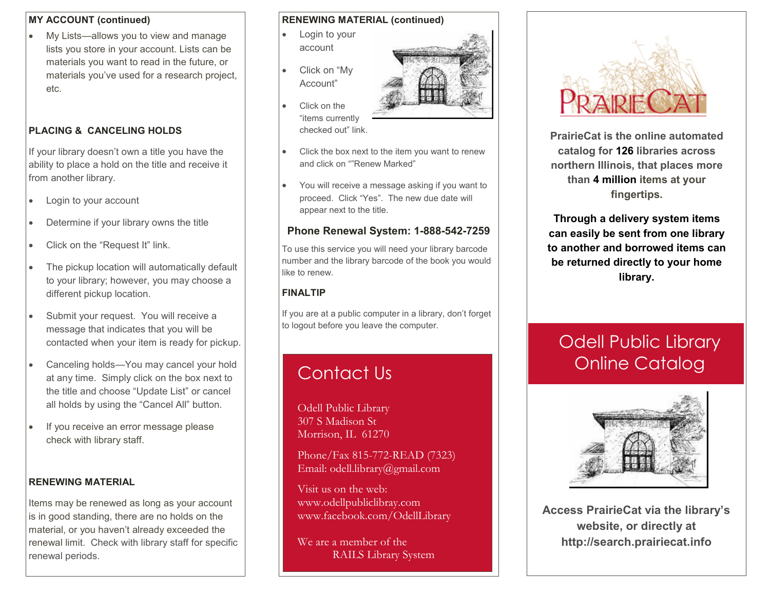#### **MY ACCOUNT (continued)**

 My Lists—allows you to view and manage lists you store in your account. Lists can be materials you want to read in the future, or materials you've used for a research project, etc.

#### **PLACING & CANCELING HOLDS**

If your library doesn't own a title you have the ability to place a hold on the title and receive it from another library.

- Login to your account
- Determine if your library owns the title
- Click on the "Request It" link.
- The pickup location will automatically default to your library; however, you may choose a different pickup location.
- Submit your request. You will receive a message that indicates that you will be contacted when your item is ready for pickup.
- Canceling holds—You may cancel your hold at any time. Simply click on the box next to the title and choose "Update List" or cancel all holds by using the "Cancel All" button.
- If you receive an error message please check with library staff.

#### **RENEWING MATERIAL**

Items may be renewed as long as your account is in good standing, there are no holds on the material, or you haven't already exceeded the renewal limit. Check with library staff for specific renewal periods.

#### **RENEWING MATERIAL (continued)**

- Login to your account
- Click on "My Account"
- Click on the "items currently checked out" link.
- Click the box next to the item you want to renew and click on ""Renew Marked"
- You will receive a message asking if you want to proceed. Click "Yes". The new due date will appear next to the title.

#### **Phone Renewal System: 1-888-542-7259**

To use this service you will need your library barcode number and the library barcode of the book you would like to renew.

#### **FINALTIP**

If you are at a public computer in a library, don't forget to logout before you leave the computer.

## Contact Us

Odell Public Library 307 S Madison St Morrison, IL 61270

Phone/Fax 815-772-READ (7323) Email: odell.library@gmail.com

Visit us on the web: www.odellpubliclibray.com www.facebook.com/OdellLibrary

We are a member of the RAILS Library System



**PrairieCat is the online automated catalog for 126 libraries across northern Illinois, that places more than 4 million items at your fingertips.**

**Through a delivery system items can easily be sent from one library to another and borrowed items can be returned directly to your home library.**

# Odell Public Library Online Catalog



**Access PrairieCat via the library's website, or directly at http://search.prairiecat.info**